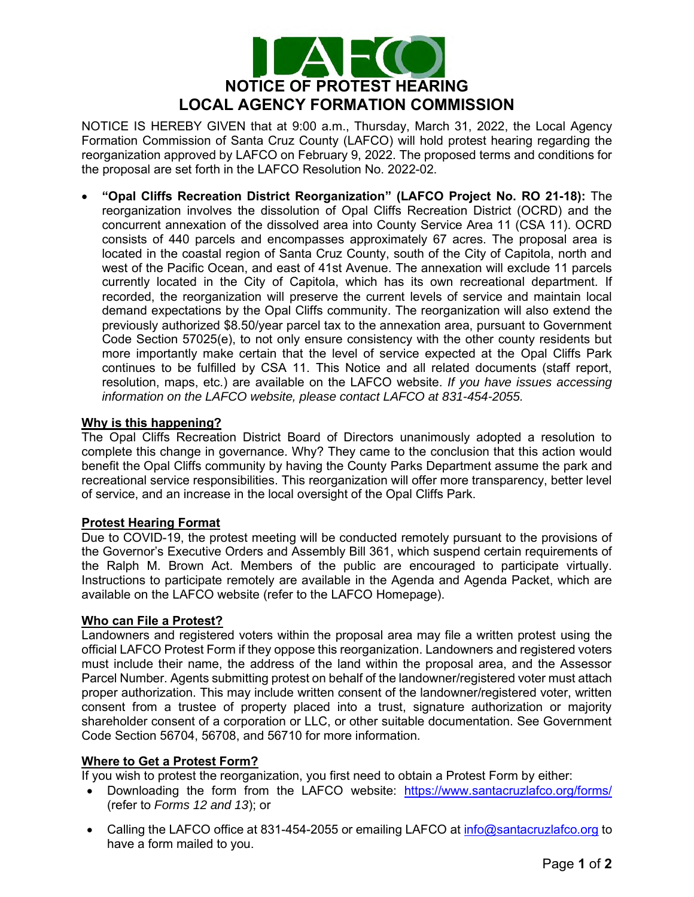

NOTICE IS HEREBY GIVEN that at 9:00 a.m., Thursday, March 31, 2022, the Local Agency Formation Commission of Santa Cruz County (LAFCO) will hold protest hearing regarding the reorganization approved by LAFCO on February 9, 2022. The proposed terms and conditions for the proposal are set forth in the LAFCO Resolution No. 2022-02.

• **"Opal Cliffs Recreation District Reorganization" (LAFCO Project No. RO 21-18):** The reorganization involves the dissolution of Opal Cliffs Recreation District (OCRD) and the concurrent annexation of the dissolved area into County Service Area 11 (CSA 11). OCRD consists of 440 parcels and encompasses approximately 67 acres. The proposal area is located in the coastal region of Santa Cruz County, south of the City of Capitola, north and west of the Pacific Ocean, and east of 41st Avenue. The annexation will exclude 11 parcels currently located in the City of Capitola, which has its own recreational department. If recorded, the reorganization will preserve the current levels of service and maintain local demand expectations by the Opal Cliffs community. The reorganization will also extend the previously authorized \$8.50/year parcel tax to the annexation area, pursuant to Government Code Section 57025(e), to not only ensure consistency with the other county residents but more importantly make certain that the level of service expected at the Opal Cliffs Park continues to be fulfilled by CSA 11. This Notice and all related documents (staff report, resolution, maps, etc.) are available on the LAFCO website. *If you have issues accessing information on the LAFCO website, please contact LAFCO at 831-454-2055.*

# **Why is this happening?**

The Opal Cliffs Recreation District Board of Directors unanimously adopted a resolution to complete this change in governance. Why? They came to the conclusion that this action would benefit the Opal Cliffs community by having the County Parks Department assume the park and recreational service responsibilities. This reorganization will offer more transparency, better level of service, and an increase in the local oversight of the Opal Cliffs Park.

# **Protest Hearing Format**

Due to COVID-19, the protest meeting will be conducted remotely pursuant to the provisions of the Governor's Executive Orders and Assembly Bill 361, which suspend certain requirements of the Ralph M. Brown Act. Members of the public are encouraged to participate virtually. Instructions to participate remotely are available in the Agenda and Agenda Packet, which are available on the LAFCO website (refer to the LAFCO Homepage).

# **Who can File a Protest?**

Landowners and registered voters within the proposal area may file a written protest using the official LAFCO Protest Form if they oppose this reorganization. Landowners and registered voters must include their name, the address of the land within the proposal area, and the Assessor Parcel Number. Agents submitting protest on behalf of the landowner/registered voter must attach proper authorization. This may include written consent of the landowner/registered voter, written consent from a trustee of property placed into a trust, signature authorization or majority shareholder consent of a corporation or LLC, or other suitable documentation. See Government Code Section 56704, 56708, and 56710 for more information.

# **Where to Get a Protest Form?**

If you wish to protest the reorganization, you first need to obtain a Protest Form by either:

- Downloading the form from the LAFCO website: <https://www.santacruzlafco.org/forms/> (refer to *Forms 12 and 13*); or
- Calling the LAFCO office at 831-454-2055 or emailing LAFCO at [info@santacruzlafco.org](mailto:info@santacruzlafco.org) to have a form mailed to you.